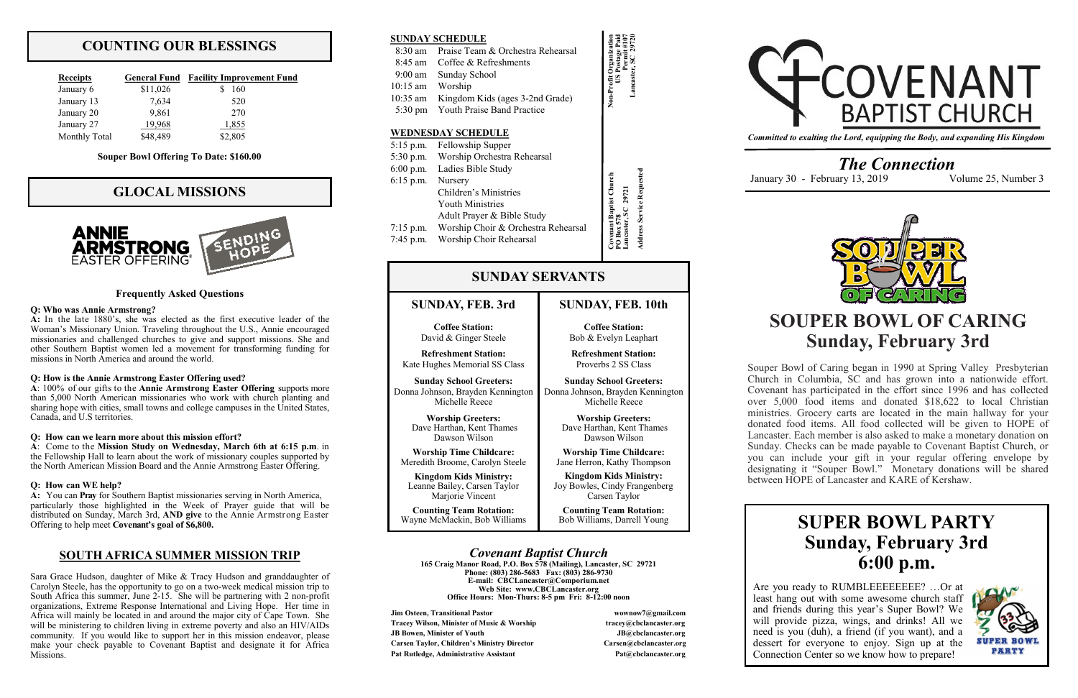## **COUNTING OUR BLESSINGS**

| <b>Receipts</b>      | <b>General Fund</b> | <b>Facility Improvement Fund</b> |
|----------------------|---------------------|----------------------------------|
| January 6            | \$11,026            | 160                              |
| January 13           | 7,634               | 520                              |
| January 20           | 9,861               | 270                              |
| January 27           | 19,968              | 1,855                            |
| <b>Monthly Total</b> | \$48,489            | \$2,805                          |

## **GLOCAL MISSIONS**



**Jim Osteen, Transitional Pastor wownow7@gmail.com Tracey Wilson, Minister of Music & Worship tracey@cbclancaster.org JB Bowen, Minister of Youth JB@cbclancaster.org Carsen Taylor, Children's Ministry Director Carsen@cbclancaster.org** Pat Rutledge, Administrative Assistant **Pat Acceleration** Pat *Rutledge, Administrative Assistant* 



*Covenant Baptist Church* **165 Craig Manor Road, P.O. Box 578 (Mailing), Lancaster, SC 29721 Phone: (803) 286-5683 Fax: (803) 286-9730 E-mail: CBCLancaster@Comporium.net Web Site: www.CBCLancaster.org Office Hours: Mon-Thurs: 8-5 pm Fri: 8-12:00 noon**

**Kingdom Kids Ministry:** Leanne Bailey, Carsen Taylor Mariorie Vincent

## **SUNDAY, FEB. 3rd**

**Coffee Station:** David & Ginger Steele

**Refreshment Station:** Kate Hughes Memorial SS Class

**Sunday School Greeters:** Donna Johnson, Brayden Kennington Michelle Reece

> **Worship Greeters:** Dave Harthan, Kent Thames Dawson Wilson

**Worship Time Childcare:** Meredith Broome, Carolyn Steele

**Counting Team Rotation:** Wayne McMackin, Bob Williams

## **SUNDAY SERVANTS**

**Non-Profit Organization US Postage Paid Permit #107 Lancaster, SC 29720**

### **SUNDAY SCHEDULE**

|                  | 8:30 am Praise Team & Orchestra Rehearsal |  |  |
|------------------|-------------------------------------------|--|--|
|                  | 8:45 am Coffee & Refreshments             |  |  |
|                  | 9:00 am Sunday School                     |  |  |
| 10:15 am Worship |                                           |  |  |
|                  | 10:35 am Kingdom Kids (ages 3-2nd Grade)  |  |  |
|                  | 5:30 pm Youth Praise Band Practice        |  |  |
|                  |                                           |  |  |
|                  |                                           |  |  |

|             | 5:15 p.m. Fellowship Supper           |                         |
|-------------|---------------------------------------|-------------------------|
|             | 5:30 p.m. Worship Orchestra Rehearsal |                         |
| $6:00$ p.m. | Ladies Bible Study                    |                         |
| $6:15$ p.m. | Nursery                               |                         |
|             | Children's Ministries                 | Service Request<br>2972 |
|             | <b>Youth Ministries</b>               |                         |
|             | Adult Prayer & Bible Study            |                         |
| $7:15$ p.m. | Worship Choir & Orchestra Rehearsal   |                         |
| $7:45$ p.m. | Worship Choir Rehearsal               |                         |
|             |                                       |                         |

### **WEDNESDAY SCHEDULE**

*Committed to exalting the Lord, equipping the Body, and expanding His Kingdom*

*The Connection* January 30 - February 13, 2019 Volume 25, Number 3



## **SUNDAY, FEB. 10th**

**Coffee Station:** Bob & Evelyn Leaphart

**Refreshment Station:** Proverbs 2 SS Class

**Sunday School Greeters:** Donna Johnson, Brayden Kennington Michelle Reece

> **Worship Greeters:** Dave Harthan, Kent Thames Dawson Wilson

**Worship Time Childcare:** Jane Herron, Kathy Thompson

**Kingdom Kids Ministry:** Joy Bowles, Cindy Frangenberg Carsen Taylor

**Counting Team Rotation:** Bob Williams, Darrell Young

# **SOUPER BOWL OF CARING Sunday, February 3rd**

Are you ready to RUMBLEEEEEEEE? ... Or at least hang out with some awesome church staff and friends during this year's Super Bowl? We will provide pizza, wings, and drinks! All we need is you (duh), a friend (if you want), and a dessert for everyone to enjoy. Sign up at the Connection Center so we know how to prepare!



Souper Bowl of Caring began in 1990 at Spring Valley Presbyterian Church in Columbia, SC and has grown into a nationwide effort. Covenant has participated in the effort since 1996 and has collected over 5,000 food items and donated \$18,622 to local Christian ministries. Grocery carts are located in the main hallway for your donated food items. All food collected will be given to HOPE of Lancaster. Each member is also asked to make a monetary donation on Sunday. Checks can be made payable to Covenant Baptist Church, or you can include your gift in your regular offering envelope by designating it "Souper Bowl." Monetary donations will be shared between HOPE of Lancaster and KARE of Kershaw.

#### **Frequently Asked Questions**

#### **Q: Who was Annie Armstrong?**

**A:** In the late 1880's, she was elected as the first executive leader of the Woman's Missionary Union. Traveling throughout the U.S., Annie encouraged missionaries and challenged churches to give and support missions. She and other Southern Baptist women led a movement for transforming funding for missions in North America and around the world.

#### **Q: How is the Annie Armstrong Easter Offering used?**

**A**: 100% of our gifts to the **Annie Armstrong Easter Offering** supports more than 5,000 North American missionaries who work with church planting and sharing hope with cities, small towns and college campuses in the United States, Canada, and U.S territories.

#### **Q: How can we learn more about this mission effort?**

**A**: Come to the **Mission Study on Wednesday, March 6th at 6:15 p.m**. in the Fellowship Hall to learn about the work of missionary couples supported by the North American Mission Board and the Annie Armstrong Easter Offering.

#### **Q: How can WE help?**

**A:** You can **Pray** for Southern Baptist missionaries serving in North America, particularly those highlighted in the Week of Prayer guide that will be distributed on Sunday, March 3rd, **AND give** to the Annie Armstrong Easter Offering to help meet **Covenant's goal of \$6,800.** 

## **SOUTH AFRICA SUMMER MISSION TRIP**

Sara Grace Hudson, daughter of Mike & Tracy Hudson and granddaughter of Carolyn Steele, has the opportunity to go on a two-week medical mission trip to South Africa this summer, June 2-15. She will be partnering with 2 non-profit organizations, Extreme Response International and Living Hope. Her time in Africa will mainly be located in and around the major city of Cape Town. She will be ministering to children living in extreme poverty and also an HIV/AIDs community. If you would like to support her in this mission endeavor, please make your check payable to Covenant Baptist and designate it for Africa Missions.

# **SUPER BOWL PARTY Sunday, February 3rd 6:00 p.m.**

#### **Souper Bowl Offering To Date: \$160.00**